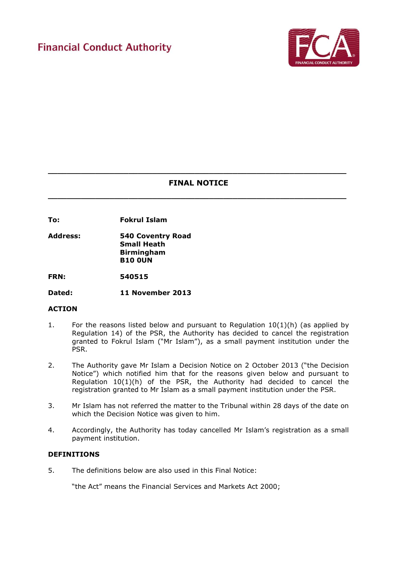

# **\_\_\_\_\_\_\_\_\_\_\_\_\_\_\_\_\_\_\_\_\_\_\_\_\_\_\_\_\_\_\_\_\_\_\_\_\_\_\_\_\_\_\_\_\_\_\_\_\_\_\_\_\_\_\_\_\_\_\_\_\_\_\_ FINAL NOTICE**

**\_\_\_\_\_\_\_\_\_\_\_\_\_\_\_\_\_\_\_\_\_\_\_\_\_\_\_\_\_\_\_\_\_\_\_\_\_\_\_\_\_\_\_\_\_\_\_\_\_\_\_\_\_\_\_\_\_\_\_\_\_\_\_**

**To: Fokrul Islam**

**Address: 540 Coventry Road Small Heath Birmingham B10 0UN**

**FRN: 540515**

**Dated: 11 November 2013** 

## **ACTION**

- 1. For the reasons listed below and pursuant to Regulation  $10(1)(h)$  (as applied by Regulation 14) of the PSR, the Authority has decided to cancel the registration granted to Fokrul Islam ("Mr Islam"), as a small payment institution under the PSR.
- 2. The Authority gave Mr Islam a Decision Notice on 2 October 2013 ("the Decision Notice") which notified him that for the reasons given below and pursuant to Regulation 10(1)(h) of the PSR, the Authority had decided to cancel the registration granted to Mr Islam as a small payment institution under the PSR.
- 3. Mr Islam has not referred the matter to the Tribunal within 28 days of the date on which the Decision Notice was given to him.
- 4. Accordingly, the Authority has today cancelled Mr Islam's registration as a small payment institution.

## **DEFINITIONS**

5. The definitions below are also used in this Final Notice:

"the Act" means the Financial Services and Markets Act 2000;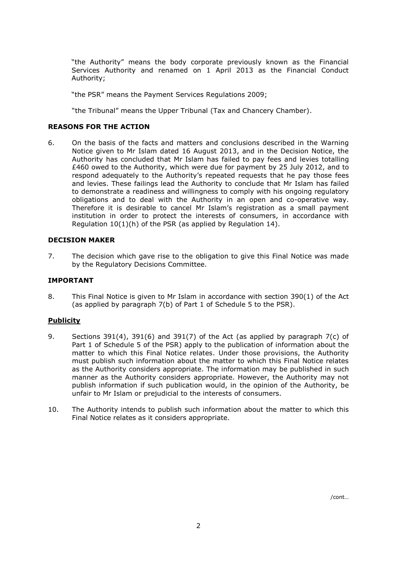"the Authority" means the body corporate previously known as the Financial Services Authority and renamed on 1 April 2013 as the Financial Conduct Authority;

"the PSR" means the Payment Services Regulations 2009;

"the Tribunal" means the Upper Tribunal (Tax and Chancery Chamber).

#### **REASONS FOR THE ACTION**

6. On the basis of the facts and matters and conclusions described in the Warning Notice given to Mr Islam dated 16 August 2013, and in the Decision Notice, the Authority has concluded that Mr Islam has failed to pay fees and levies totalling £460 owed to the Authority, which were due for payment by 25 July 2012, and to respond adequately to the Authority's repeated requests that he pay those fees and levies. These failings lead the Authority to conclude that Mr Islam has failed to demonstrate a readiness and willingness to comply with his ongoing regulatory obligations and to deal with the Authority in an open and co-operative way. Therefore it is desirable to cancel Mr Islam's registration as a small payment institution in order to protect the interests of consumers, in accordance with Regulation 10(1)(h) of the PSR (as applied by Regulation 14).

#### **DECISION MAKER**

7. The decision which gave rise to the obligation to give this Final Notice was made by the Regulatory Decisions Committee.

#### **IMPORTANT**

8. This Final Notice is given to Mr Islam in accordance with section 390(1) of the Act (as applied by paragraph 7(b) of Part 1 of Schedule 5 to the PSR).

## **Publicity**

- 9. Sections 391(4), 391(6) and 391(7) of the Act (as applied by paragraph 7(c) of Part 1 of Schedule 5 of the PSR) apply to the publication of information about the matter to which this Final Notice relates. Under those provisions, the Authority must publish such information about the matter to which this Final Notice relates as the Authority considers appropriate. The information may be published in such manner as the Authority considers appropriate. However, the Authority may not publish information if such publication would, in the opinion of the Authority, be unfair to Mr Islam or prejudicial to the interests of consumers.
- 10. The Authority intends to publish such information about the matter to which this Final Notice relates as it considers appropriate.